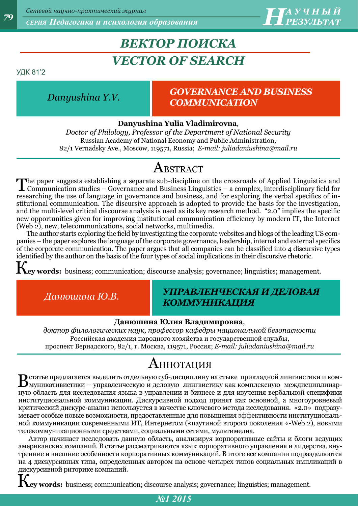# *вектор поиска VECTOR OF SEARCH*

УДК 81'2

*Danyushina Y.V.*

### *GOVERNANCE AND BUSINESS COMMUNICATION*

### **Danyushina Yulia Vladimirovna**,

*Doctor of Philology, Professor of the Department of National Security* Russian Academy of National Economy and Public Administration, 82/1 Vernadsky Ave., Moscow, 119571, Russia; *E-mail: [juliadaniushina@mail.ru](mailto:juliadaniushina@mail.ru)*

## **ABSTRACT**

The paper suggests establishing a separate sub-discipline on the crossroads of Applied Linguistics and Communication studies – Governance and Business Linguistics – a complex, interdisciplinary field for researching the use of language in governance and business, and for exploring the verbal specifics of institutional communication. The discursive approach is adopted to provide the basis for the investigation, and the multi-level critical discourse analysis is used as its key research method. "2.0" implies the specific new opportunities given for improving institutional communication efficiency by modern IT, the Internet (Web 2), new, telecommunications, social networks, multimedia.

The author starts exploring the field by investigating the corporate websites and blogs of the leading US companies – the paper explores the language of the corporate governance, leadership, internal and external specifics of the corporate communication. The paper argues that all companies can be classified into 4 discursive types identified by the author on the basis of the four types of social implications in their discursive rhetoric.

**Ley words:** business; communication; discourse analysis; governance; linguistics; management.

*Данюшина Ю.В.*

### *УПРАВЛЕНЧЕСКАЯ И ДЕЛОВАЯ КОММУНИКАЦИЯ*

#### **Данюшина Юлия Владимировна**,

*доктор филологических наук, профессор кафедры национальной безопасности* Российская академия народного хозяйства и государственной службы, проспект Вернадского, 82/1, г. Москва, 119571, Россия; *E-mail: juliadaniushina@mail.ru*

# Аннотация

В статье предлагается выделить отдельную суб-дисциплину на стыке прикладной лингвистики и ком-муникативистики – управленческую и деловую лингвистику как комплексную междисциплинарную область для исследования языка в управлении и бизнесе и для изучения вербальной специфики институциональной коммуникации. Дискурсивной подход принят как основной, а многоуровневый критический дискурс-анализ используется в качестве ключевого метода исследования. «2.0» подразумевает особые новые возможности, предоставленные для повышения эффективности институциональной коммуникации современными ИТ, Интернетом («паутиной второго поколения «-Web 2), новыми телекоммуникационными средствами, социальными сетями, мультимедиа.

Автор начинает исследовать данную область, анализируя корпоративные сайты и блоги ведущих американских компаний. В статье рассматриваются язык корпоративного управления и лидерства, внутренние и внешние особенности корпоративных коммуникаций. В итоге все компании подразделяются на 4 дискурсивных типа, определенных автором на основе четырех типов социальных импликаций в дискурсивной риторике компаний.

К**еy words:** business; communication; discourse analysis; governance; linguistics; management.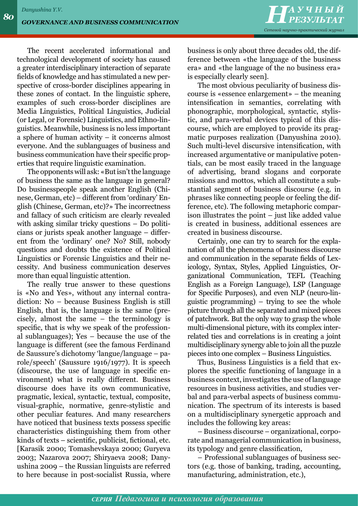The recent accelerated informational and technological development of society has caused a greater interdisciplinary interaction of separate fields of knowledge and has stimulated a new perspective of cross-border disciplines appearing in these zones of contact. In the linguistic sphere, examples of such cross-border disciplines are Media Linguistics, Political Linguistics, Judicial (or Legal, or Forensic) Linguistics, and Ethno-linguistics. Meanwhile, business is no less important a sphere of human activity – it concerns almost everyone. And the sublanguages of business and business communication have their specific properties that require linguistic examination.

The opponents will ask: «But isn't the language of business the same as the language in general? Do businesspeople speak another English (Chinese, German, etc) – different from 'ordinary' English (Chinese, German, etc)?» The incorrectness and fallacy of such criticism are clearly revealed with asking similar tricky questions – Do politicians or jurists speak another language – different from the 'ordinary' one? No? Still, nobody questions and doubts the existence of Political Linguistics or Forensic Linguistics and their necessity. And business communication deserves more than equal linguistic attention.

The really true answer to these questions is «No and Yes», without any internal contradiction: No – because Business English is still English, that is, the language is the same (precisely, almost the same – the terminology is specific, that is why we speak of the professional sublanguages); Yes – because the use of the language is different (see the famous Ferdinand de Saussure's dichotomy 'langue/language – parole/speech' (Saussure 1916/1977). It is speech (discourse, the use of language in specific environment) what is really different. Business discourse does have its own communicative, pragmatic, lexical, syntactic, textual, composite, visual-graphic, normative, genre-stylistic and other peculiar features. And many researchers have noticed that business texts possess specific characteristics distinguishing them from other kinds of texts – scientific, publicist, fictional, etc. [Karasik 2000; Tomashevskaya 2000; Guryeva 2003; Nazarova 2007; Shiryaeva 2008; Danyushina 2009 – the Russian linguists are referred to here because in post-socialist Russia, where business is only about three decades old, the difference between «the language of the business era» and «the language of the no business era» is especially clearly seen].

The most obvious peculiarity of business discourse is «essence enlargement» – the meaning intensification in semantics, correlating with phonographic, morphological, syntactic, stylistic, and para-verbal devices typical of this discourse, which are employed to provide its pragmatic purposes realization (Danyushina 2010). Such multi-level discursive intensification, with increased argumentative or manipulative potentials, can be most easily traced in the language of advertising, brand slogans and corporate missions and mottos, which all constitute a substantial segment of business discourse (e.g. in phrases like connecting people or feeling the difference, etc). The following metaphoric comparison illustrates the point – just like added value is created in business, additional essences are created in business discourse.

Certainly, one can try to search for the explanation of all the phenomena of business discourse and communication in the separate fields of Lexicology, Syntax, Styles, Applied Linguistics, Organizational Communication, TEFL (Teaching English as a Foreign Language), LSP (Language for Specific Purposes), and even NLP (neuro-linguistic programming) – trying to see the whole picture through all the separated and mixed pieces of patchwork. But the only way to grasp the whole multi-dimensional picture, with its complex interrelated ties and correlations is in creating a joint multidisciplinary synergy able to join all the puzzle pieces into one complex – Business Linguistics.

Thus, Business Linguistics is a field that explores the specific functioning of language in a business context, investigates the use of language resources in business activities, and studies verbal and para-verbal aspects of business communication. The spectrum of its interests is based on a multidisciplinary synergetic approach and includes the following key areas:

– Business discourse – organizational, corporate and managerial communication in business, its typology and genre classification,

– Professional sublanguages of business sectors (e.g. those of banking, trading, accounting, manufacturing, administration, etc.),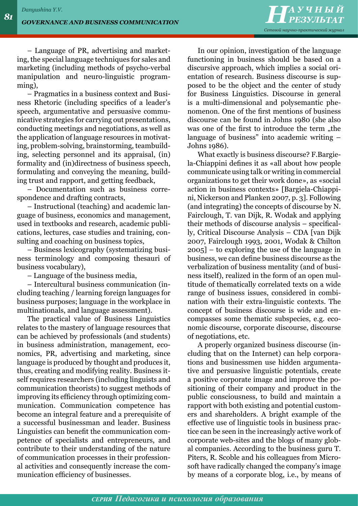*81*

– Language of PR, advertising and marketing, the special language techniques for sales and marketing (including methods of psycho-verbal manipulation and neuro-linguistic programming),

– Pragmatics in a business context and Business Rhetoric (including specifics of a leader's speech, argumentative and persuasive communicative strategies for carrying out presentations, conducting meetings and negotiations, as well as the application of language resources in motivating, problem-solving, brainstorming, teambuilding, selecting personnel and its appraisal, (in) formality and (in)directness of business speech, formulating and conveying the meaning, building trust and rapport, and getting feedback,

– Documentation such as business correspondence and drafting contracts,

– Instructional (teaching) and academic language of business, economics and management, used in textbooks and research, academic publications, lectures, case studies and training, consulting and coaching on business topics,

– Business lexicography (systematizing business terminology and composing thesauri of business vocabulary),

– Language of the business media,

– Intercultural business communication (including teaching / learning foreign languages for business purposes; language in the workplace in multinationals, and language assessment).

The practical value of Business Linguistics relates to the mastery of language resources that can be achieved by professionals (and students) in business administration, management, economics, PR, advertising and marketing, since language is produced by thought and produces it, thus, creating and modifying reality. Business itself requires researchers (including linguists and communication theorists) to suggest methods of improving its efficiency through optimizing communication. Communication competence has become an integral feature and a prerequisite of a successful businessman and leader. Business Linguistics can benefit the communication competence of specialists and entrepreneurs, and contribute to their understanding of the nature of communication processes in their professional activities and consequently increase the communication efficiency of businesses.

In our opinion, investigation of the language functioning in business should be based on a discursive approach, which implies a social orientation of research. Business discourse is supposed to be the object and the center of study for Business Linguistics. Discourse in general is a multi-dimensional and polysemantic phenomenon. One of the first mentions of business discourse can be found in Johns 1980 (she also was one of the first to introduce the term ..the language of business" into academic writing – Johns 1986).

What exactly is business discourse? F.Bargiela-Chiappini defines it as «all about how people communicate using talk or writing in commercial organizations to get their work done», as «social action in business contexts» [Bargiela-Chiappini, Nickerson and Planken 2007, p. 3]. Following (and integrating) the concepts of discourse by N. Fairclough, T. van Dijk, R. Wodak and applying their methods of discourse analysis – specifically, Critical Discourse Analysis – CDA [van Dijk 2007, Fairclough 1993, 2001, Wodak & Chilton 2005] – to exploring the use of the language in business, we can define business discourse as the verbalization of business mentality (and of business itself), realized in the form of an open multitude of thematically correlated texts on a wide range of business issues, considered in combination with their extra-linguistic contexts. The concept of business discourse is wide and encompasses some thematic subspecies, e.g. economic discourse, corporate discourse, discourse of negotiations, etc.

A properly organized business discourse (including that on the Internet) can help corporations and businessmen use hidden argumentative and persuasive linguistic potentials, create a positive corporate image and improve the positioning of their company and product in the public consciousness, to build and maintain a rapport with both existing and potential customers and shareholders. A bright example of the effective use of linguistic tools in business practice can be seen in the increasingly active work of corporate web-sites and the blogs of many global companies. According to the business guru T. Piters, R. Scoble and his colleagues from Microsoft have radically changed the company's image by means of a corporate blog, i.e., by means of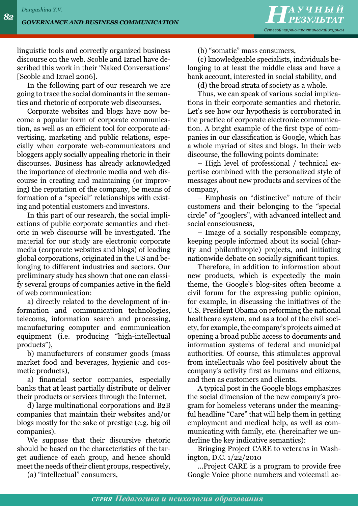*82*

linguistic tools and correctly organized business discourse on the web. Scoble and Izrael have described this work in their 'Naked Conversations' [Scoble and Izrael 2006].

In the following part of our research we are going to trace the social dominants in the semantics and rhetoric of corporate web discourses**.** 

Corporate websites and blogs have now become a popular form of corporate communication, as well as an efficient tool for corporate advertising, marketing and public relations, especially when corporate web-communicators and bloggers apply socially appealing rhetoric in their discourses. Business has already acknowledged the importance of electronic media and web discourse in creating and maintaining (or improving) the reputation of the company, be means of formation of a "special" relationships with existing and potential customers and investors.

In this part of our research, the social implications of public corporate semantics and rhetoric in web discourse will be investigated. The material for our study are electronic corporate media (corporate websites and blogs) of leading global corporations, originated in the US and belonging to different industries and sectors. Our preliminary study has shown that one can classify several groups of companies active in the field of web communication:

a) directly related to the development of information and communication technologies, telecoms, information search and processing, manufacturing computer and communication equipment (i.e. producing "high-intellectual products"),

b) manufacturers of consumer goods (mass market food and beverages, hygienic and cosmetic products),

a) financial sector companies, especially banks that at least partially distribute or deliver their products or services through the Internet,

d) large multinational corporations and B2B companies that maintain their websites and/or blogs mostly for the sake of prestige (e.g. big oil companies).

We suppose that their discursive rhetoric should be based on the characteristics of the target audience of each group, and hence should meet the needs of their client groups, respectively,

(a) "intellectual" consumers,

(b) "somatic" mass consumers,

(c) knowledgeable specialists, individuals belonging to at least the middle class and have a bank account, interested in social stability, and

(d) the broad strata of society as a whole.

Thus, we can speak of various social implications in their corporate semantics and rhetoric. Let's see how our hypothesis is corroborated in the practice of corporate electronic communication. A bright example of the first type of companies in our classification is Google, which has a whole myriad of sites and blogs. In their web discourse, the following points dominate:

– High level of professional / technical expertise combined with the personalized style of messages about new products and services of the company,

– Emphasis on "distinctive" nature of their customers and their belonging to the "special circle" of "googlers", with advanced intellect and social consciousness,

– Image of a socially responsible company, keeping people informed about its social (charity and philanthropic) projects, and initiating nationwide debate on socially significant topics.

Therefore, in addition to information about new products, which is expectedly the main theme, the Google's blog-sites often become a civil forum for the expressing public opinion, for example, in discussing the initiatives of the U.S. President Obama on reforming the national healthcare system, and as a tool of the civil society, for example, the company's projects aimed at opening a broad public access to documents and information systems of federal and municipal authorities. Of course, this stimulates approval from intellectuals who feel positively about the company's activity first as humans and citizens, and then as customers and clients.

A typical post in the Google blogs emphasizes the social dimension of the new company's program for homeless veterans under the meaningful headline "Care" that will help them in getting employment and medical help, as well as communicating with family, etc. (hereinafter we underline the key indicative semantics):

Bringing Project CARE to veterans in Washington, D.C. 1/22/2010

…Project CARE is a program to provide free Google Voice phone numbers and voicemail ac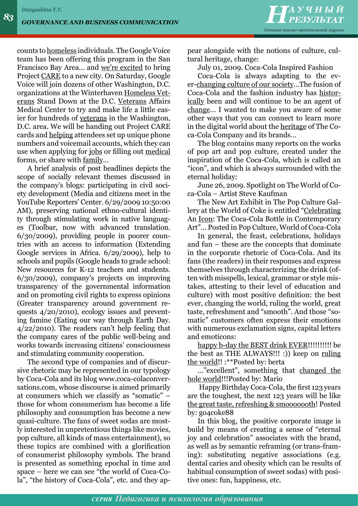counts to homeless individuals. The Google Voice team has been offering this program in the San Francisco Bay Area… and we're excited to bring Project CARE to a new city. On Saturday, Google Voice will join dozens of other Washington, D.C. organizations at the Winterhaven Homeless Veterans Stand Down at the D.C. Veterans Affairs Medical Center to try and make life a little easier for hundreds of veterans in the Washington, D.C. area. We will be handing out Project CARE cards and helping attendees set up unique phone numbers and voicemail accounts, which they can use when applying for jobs or filling out medical forms, or share with family…

A brief analysis of post headlines depicts the scope of socially relevant themes discussed in the company's blogs: participating in civil society development (Media and citizens meet in the YouTube Reporters' Center. 6/29/2009 10:50:00 AM), preserving national ethno-cultural identity through stimulating work in native languages (Toolbar, now with advanced translation. 6/30/2009), providing people in poorer countries with an access to information (Extending Google services in Africa. 6/29/2009), help to schools and pupils (Google heads to grade school: New resources for K-12 teachers and students. 6/30/2009), company's projects on improving transparency of the governmental information and on promoting civil rights to express opinions (Greater transparency around government requests 4/20/2010), ecology issues and preventing famine (Eating our way through Earth Day. 4/22/2010). The readers can't help feeling that the company cares of the public well-being and works towards increasing citizens' consciousness and stimulating community cooperation.

The second type of companies and of discursive rhetoric may be represented in our typology by Coca-Cola and its blog www.coca-colaconversations.com, whose discourse is aimed primarily at consumers which we classify as "somatic" – those for whom consumerism has become a life philosophy and consumption has become a new quasi-culture. The fans of sweet sodas are mostly interested in unpretentious things like movies, pop culture, all kinds of mass entertainment), so these topics are combined with a glorification of consumerist philosophy symbols. The brand is presented as something epochal in time and space – here we can see "the world of Coca-Cola", "the history of Coca-Cola", etc. and they appear alongside with the notions of culture, cultural heritage, change:

July 01, 2009. Coca-Cola Inspired Fashion

Coca-Cola is always adapting to the ever-changing culture of our society…The fusion of Coca-Cola and the fashion industry has historically been and will continue to be an agent of change… I wanted to make you aware of some other ways that you can connect to learn more in the digital world about the heritage of The Coca-Cola Company and its brands…

The blog contains many reports on the works of pop art and pop culture, created under the inspiration of the Coca-Cola, which is called an "icon", and which is always surrounded with the eternal holiday:

June 26, 2009. Spotlight on The World of Coca-Cola – Artist Steve Kaufman

The New Art Exhibit in The Pop Culture Gallery at the World of Coke is entitled "Celebrating An Icon: The Coca-Cola Bottle in Contemporary Art"… Posted in Pop Culture, World of Coca-Cola

In general, the feast, celebrations, holidays and fun – these are the concepts that dominate in the corporate rhetoric of Coca-Cola. And its fans (the readers) in their responses and express themselves through characterizing the drink (often with misspells, lexical, grammar or style mistakes, attesting to their level of education and culture) with most positive definition: the best ever, changing the world, ruling the world, great taste, refreshment and "smooth". And those "somatic" customers often express their emotions with numerous exclamation signs, capital letters and emoticons:

happy b-day the BEST drink EVER!!!!!!!!!!! be the best as THE ALWAYS!!! :)) keep on ruling the world!! :\*\*Posted by: berta

..."excellent", something that changed the hole world!!!Posted by: Mario

 Happy Birthday Coca-Cola, the first 123 years are the toughest, the next 123 years will be like the great taste, refreshing & smooooooth! Posted by: go4coke88

In this blog, the positive corporate image is build by means of creating a sense of "eternal joy and celebration" associates with the brand, as well as by semantic reframing (or trans-framing): substituting negative associations (e.g. dental caries and obesity which can be results of habitual consumption of sweet sodas) with positive ones: fun, happiness, etc.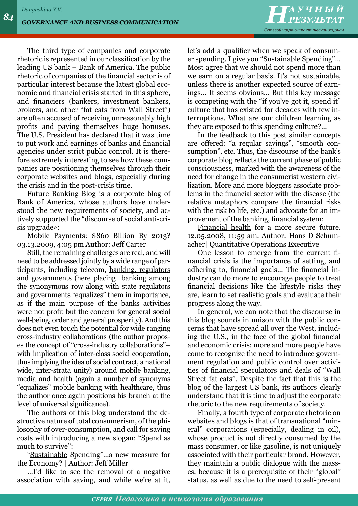*РЕЗУЛЬТАТ Сетевой научно-практический журнал*

The third type of companies and corporate rhetoric is represented in our classification by the leading US bank – Bank of America. The public rhetoric of companies of the financial sector is of particular interest because the latest global economic and financial crisis started in this sphere, and financiers (bankers, investment bankers, brokers, and other "fat cats from Wall Street") are often accused of receiving unreasonably high profits and paying themselves huge bonuses. The U.S. President has declared that it was time to put work and earnings of banks and financial agencies under strict public control. It is therefore extremely interesting to see how these companies are positioning themselves through their corporate websites and blogs, especially during the crisis and in the post-crisis time.

Future Banking Blog is a corporate blog of Bank of America, whose authors have understood the new requirements of society, and actively supported the "discourse of social anti-crisis upgrade»:

Mobile Payments: \$860 Billion By 2013? 03.13.2009, 4:05 pm Author: Jeff Carter

Still, the remaining challenges are real, and will need to be addressed jointly by a wide range of participants, including telecom, banking, regulators and governments (here placing banking among the synonymous row along with state regulators and governments "equalizes" them in importance, as if the main purpose of the banks activities were not profit but the concern for general social well-being, order and general prosperity). And this does not even touch the potential for wide ranging cross-industry collaborations (the author proposes the concept of "cross-industry collaborations"– with implication of inter-class social cooperation, thus implying the idea of social contract, a national wide, inter-strata unity) around mobile banking, media and health (again a number of synonyms "equalizes" mobile banking with healthcare, thus the author once again positions his branch at the level of universal significance).

The authors of this blog understand the destructive nature of total consumerism, of the philosophy of over-consumption, and call for saving costs with introducing a new slogan: "Spend as much to survive":

"Sustainable Spending"…a new measure for the Economy? | Author: Jeff Miller

…I'd like to see the removal of a negative association with saving, and while we're at it,

let's add a qualifier when we speak of consumer spending. I give you "Sustainable Spending"… Most agree that we should not spend more than we earn on a regular basis. It's not sustainable, unless there is another expected source of earnings… It seems obvious… But this key message is competing with the "if you've got it, spend it" culture that has existed for decades with few interruptions. What are our children learning as they are exposed to this spending culture?...

In the feedback to this post similar concepts are offered: "a regular savings", "smooth consumption", etc. Thus, the discourse of the bank's corporate blog reflects the current phase of public consciousness, marked with the awareness of the need for change in the consumerist western civilization. More and more bloggers associate problems in the financial sector with the disease (the relative metaphors compare the financial risks with the risk to life, etc.) and advocate for an improvement of the banking, financial system:

Financial health for a more secure future. 12.05.2008, 11:59 am. Author: Hans D Schumacher| Quantitative Operations Executive

One lesson to emerge from the current financial crisis is the importance of setting, and adhering to, financial goals... The financial industry can do more to encourage people to treat financial decisions like the lifestyle risks they are, learn to set realistic goals and evaluate their progress along the way.

In general, we can note that the discourse in this blog sounds in unison with the public concerns that have spread all over the West, including the U.S., in the face of the global financial and economic crisis: more and more people have come to recognize the need to introduce government regulation and public control over activities of financial speculators and deals of "Wall Street fat cats". Despite the fact that this is the blog of the largest US bank, its authors clearly understand that it is time to adjust the corporate rhetoric to the new requirements of society.

Finally, a fourth type of corporate rhetoric on websites and blogs is that of transnational "mineral" corporations (especially, dealing in oil), whose product is not directly consumed by the mass consumer, or like gasoline, is not uniquely associated with their particular brand. However, they maintain a public dialogue with the masses, because it is a prerequisite of their "global" status, as well as due to the need to self-present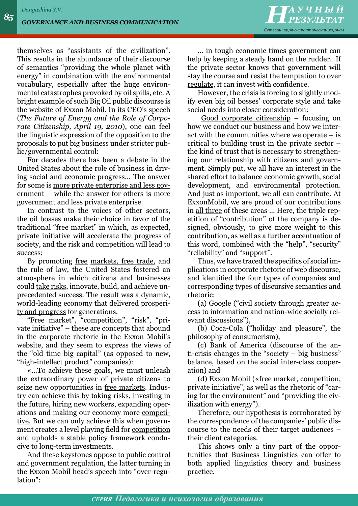

themselves as "assistants of the civilization". This results in the abundance of their discourse of semantics "providing the whole planet with energy" in combination with the environmental vocabulary, especially after the huge environmental catastrophes provoked by oil spills, etc. A bright example of such Big Oil public discourse is the website of Exxon Mobil. In its CEO's speech (*The Future of Energy and the Role of Corporate Citizenship, April 19, 2010*), one can feel the linguistic expression of the opposition to the proposals to put big business under stricter public/governmental control:

For decades there has been a debate in the United States about the role of business in driving social and economic progress… The answer for some is more private enterprise and less government – while the answer for others is more government and less private enterprise.

In contrast to the voices of other sectors, the oil bosses make their choice in favor of the traditional "free market" in which, as expected, private initiative will accelerate the progress of society, and the risk and competition will lead to success:

By promoting free markets, free trade, and the rule of law, the United States fostered an atmosphere in which citizens and businesses could take risks, innovate, build, and achieve unprecedented success. The result was a dynamic, world-leading economy that delivered prosperity and progress for generations.

"Free market", "competition", "risk", "private initiative" – these are concepts that abound in the corporate rhetoric in the Exxon Mobil's website, and they seem to express the views of the "old time big capital" (as opposed to new, "high-intellect product" companies):

«…To achieve these goals, we must unleash the extraordinary power of private citizens to seize new opportunities in free markets. Industry can achieve this by taking risks, investing in the future, hiring new workers, expanding operations and making our economy more competitive. But we can only achieve this when government creates a level playing field for competition and upholds a stable policy framework conducive to long-term investments.

And these keystones oppose to public control and government regulation, the latter turning in the Exxon Mobil head's speech into "over-regulation":

… in tough economic times government can help by keeping a steady hand on the rudder. If the private sector knows that government will stay the course and resist the temptation to over regulate, it can invest with confidence.

However, the crisis is forcing to slightly modify even big oil bosses' corporate style and take social needs into closer consideration:

Good corporate citizenship – focusing on how we conduct our business and how we interact with the communities where we operate – is critical to building trust in the private sector – the kind of trust that is necessary to strengthening our relationship with citizens and government. Simply put, we all have an interest in the shared effort to balance economic growth, social development, and environmental protection. And just as important, we all can contribute. At ExxonMobil, we are proud of our contributions in all three of these areas ... Here, the triple repetition of "contribution" of the company is designed, obviously, to give more weight to this contribution, as well as a further accentuation of this word, combined with the "help", "security" "reliability" and "support".

Thus, we have traced the specifics of social implications in corporate rhetoric of web discourse, and identified the four types of companies and corresponding types of discursive semantics and rhetoric:

(a) Google ("civil society through greater access to information and nation-wide socially relevant discussions"),

(b) Coca-Cola ("holiday and pleasure", the philosophy of consumerism),

(c) Bank of America (discourse of the anti-crisis changes in the "society *–* big business" balance, based on the social inter-class cooperation) and

(d) Exxon Mobil («free market, competition, private initiative", as well as the rhetoric of "caring for the environment" and "providing the civilization with energy").

Therefore, our hypothesis is corroborated by the correspondence of the companies' public discourse to the needs of their target audiences *–* their client categories.

This shows only a tiny part of the opportunities that Business Linguistics can offer to both applied linguistics theory and business practice.